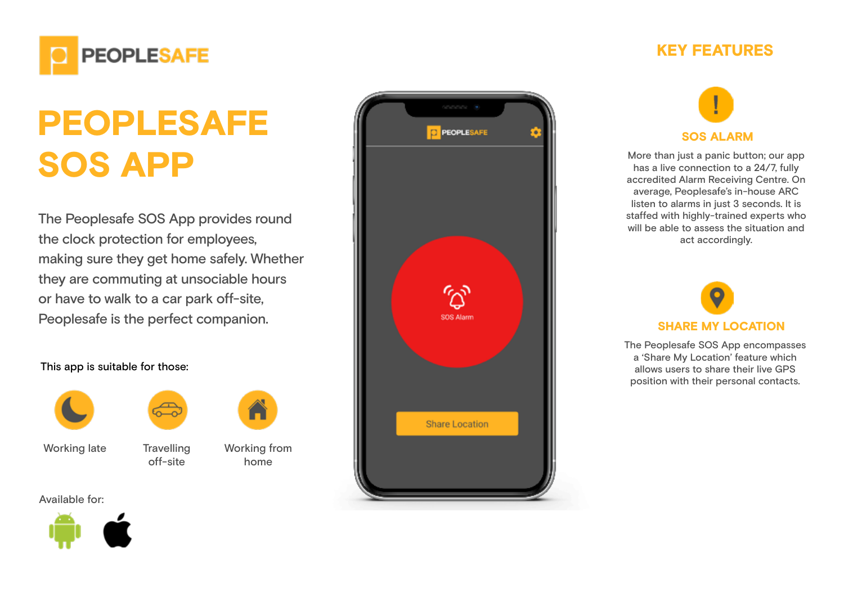

## PEOPLESAFE SOS APP

The Peoplesafe SOS App provides round the clock protection for employees, making sure they get home safely. Whether they are commuting at unsociable hours or have to walk to a car park off-site, Peoplesafe is the perfect companion.

off-site

## This app is suitable for those:



Working from home

Working late Travelling

Available for:





## KEY FEATURES



More than just a panic button; our app has a live connection to a 24/7, fully accredited Alarm Receiving Centre. On average, Peoplesafe's in-house ARC listen to alarms in just 3 seconds. It is staffed with highly-trained experts who will be able to assess the situation and act accordingly.



The Peoplesafe SOS App encompasses a 'Share My Location' feature which allows users to share their live GPS position with their personal contacts.